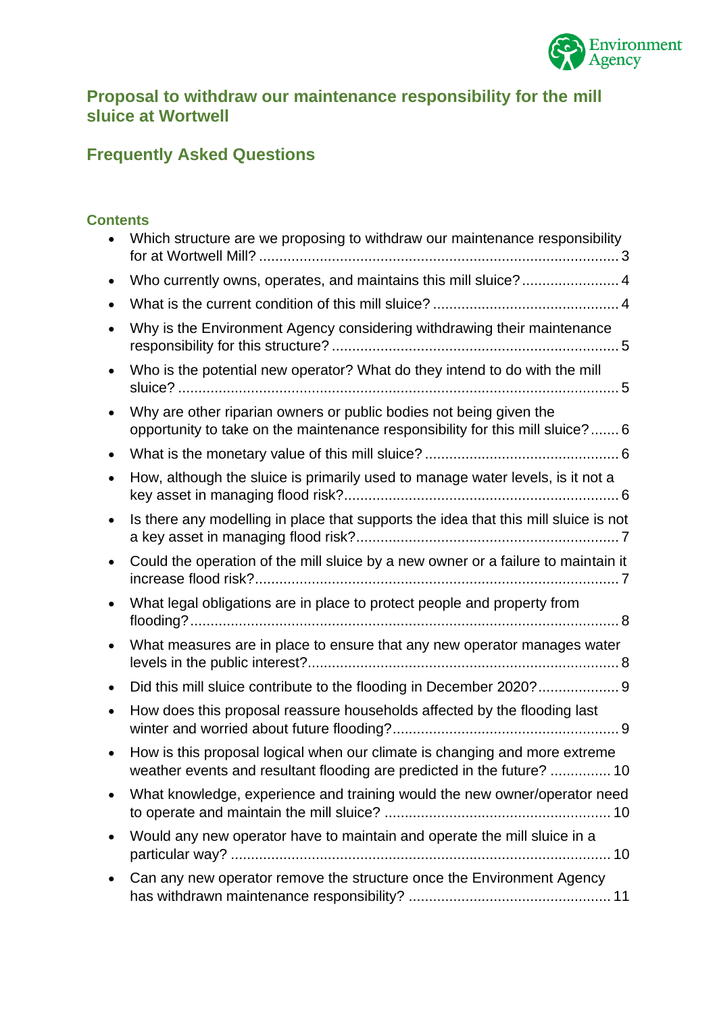

#### **Proposal to withdraw our maintenance responsibility for the mill sluice at Wortwell**

# **Frequently Asked Questions**

#### **Contents**

| Which structure are we proposing to withdraw our maintenance responsibility                                                                          |
|------------------------------------------------------------------------------------------------------------------------------------------------------|
| Who currently owns, operates, and maintains this mill sluice? 4                                                                                      |
|                                                                                                                                                      |
| Why is the Environment Agency considering withdrawing their maintenance                                                                              |
| Who is the potential new operator? What do they intend to do with the mill                                                                           |
| Why are other riparian owners or public bodies not being given the<br>opportunity to take on the maintenance responsibility for this mill sluice? 6  |
|                                                                                                                                                      |
| How, although the sluice is primarily used to manage water levels, is it not a                                                                       |
| Is there any modelling in place that supports the idea that this mill sluice is not                                                                  |
| Could the operation of the mill sluice by a new owner or a failure to maintain it                                                                    |
| What legal obligations are in place to protect people and property from                                                                              |
| What measures are in place to ensure that any new operator manages water                                                                             |
| Did this mill sluice contribute to the flooding in December 2020? 9                                                                                  |
| How does this proposal reassure households affected by the flooding last                                                                             |
| How is this proposal logical when our climate is changing and more extreme<br>weather events and resultant flooding are predicted in the future?  10 |
| What knowledge, experience and training would the new owner/operator need                                                                            |
| Would any new operator have to maintain and operate the mill sluice in a                                                                             |
| Can any new operator remove the structure once the Environment Agency                                                                                |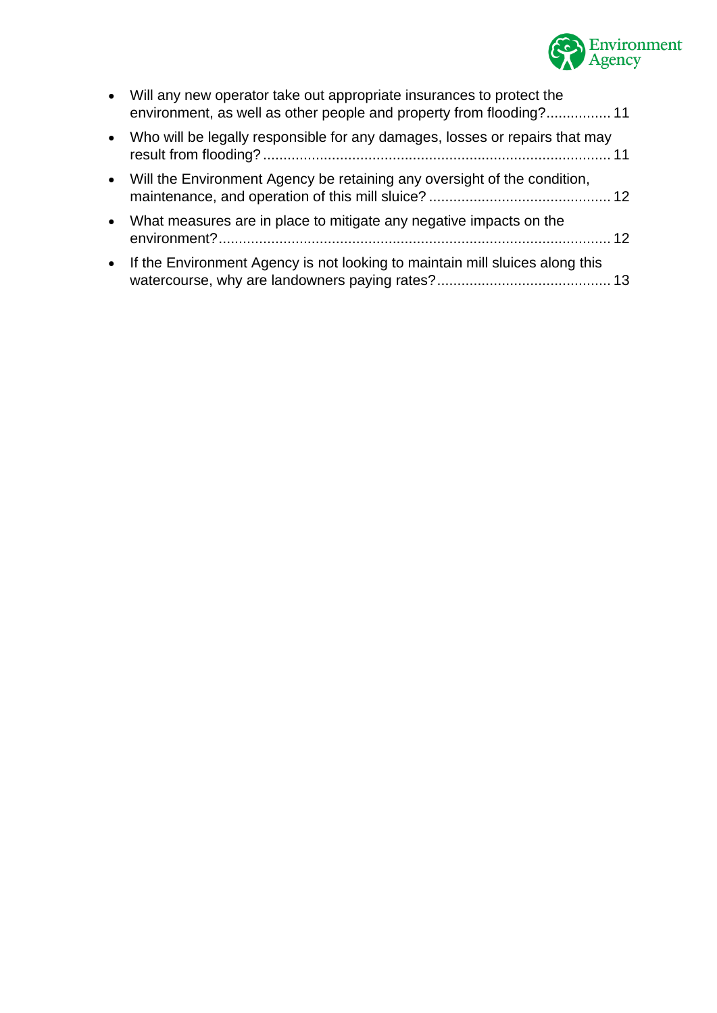

| $\bullet$ | Will any new operator take out appropriate insurances to protect the<br>environment, as well as other people and property from flooding? 11 |
|-----------|---------------------------------------------------------------------------------------------------------------------------------------------|
|           | • Who will be legally responsible for any damages, losses or repairs that may                                                               |
|           | • Will the Environment Agency be retaining any oversight of the condition,                                                                  |
| $\bullet$ | What measures are in place to mitigate any negative impacts on the                                                                          |
| $\bullet$ | If the Environment Agency is not looking to maintain mill sluices along this                                                                |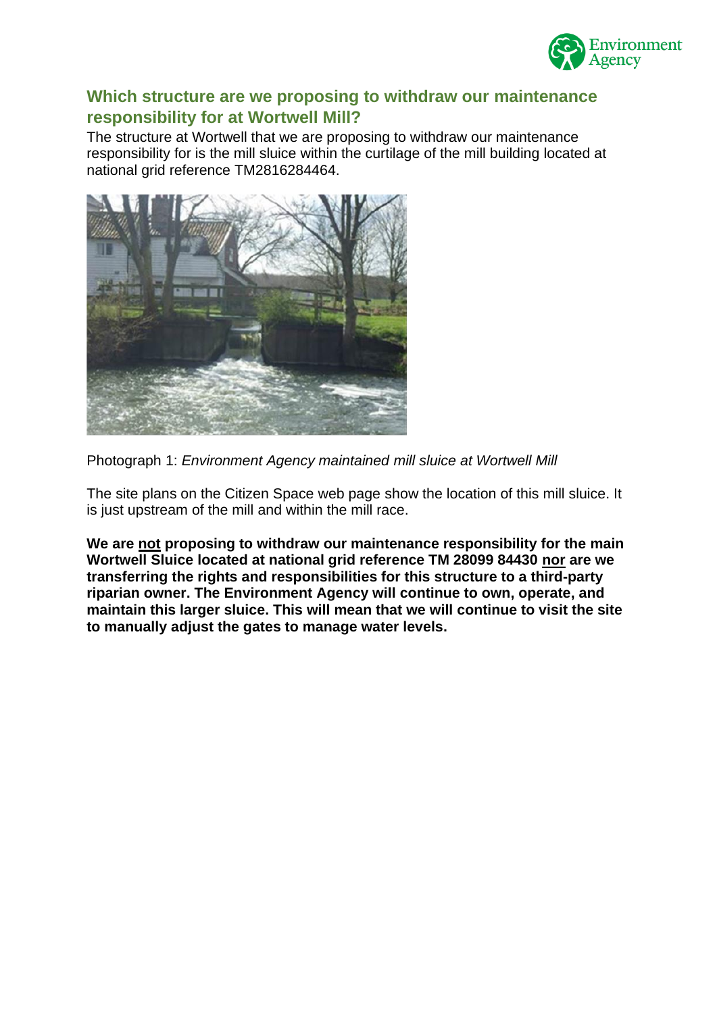

#### <span id="page-2-0"></span>**Which structure are we proposing to withdraw our maintenance responsibility for at Wortwell Mill?**

The structure at Wortwell that we are proposing to withdraw our maintenance responsibility for is the mill sluice within the curtilage of the mill building located at national grid reference TM2816284464.



Photograph 1: *Environment Agency maintained mill sluice at Wortwell Mill*

The site plans on the Citizen Space web page show the location of this mill sluice. It is just upstream of the mill and within the mill race.

**We are not proposing to withdraw our maintenance responsibility for the main Wortwell Sluice located at national grid reference TM 28099 84430 nor are we transferring the rights and responsibilities for this structure to a third-party riparian owner. The Environment Agency will continue to own, operate, and maintain this larger sluice. This will mean that we will continue to visit the site to manually adjust the gates to manage water levels.**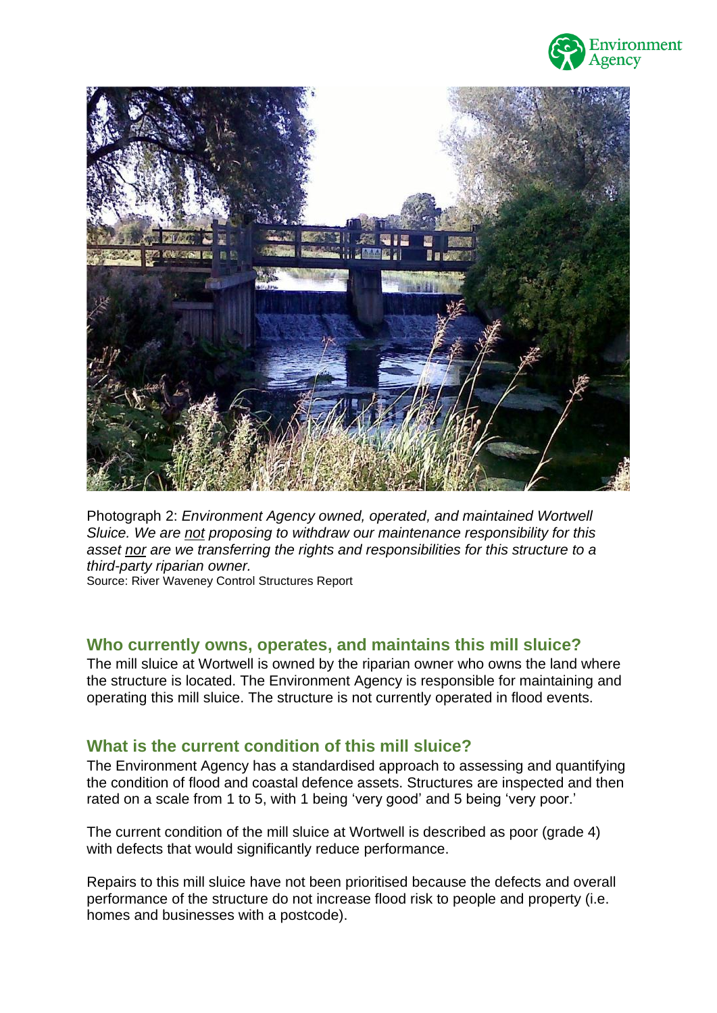



Photograph 2: *Environment Agency owned, operated, and maintained Wortwell Sluice. We are not proposing to withdraw our maintenance responsibility for this asset nor are we transferring the rights and responsibilities for this structure to a third-party riparian owner.*

Source: River Waveney Control Structures Report

#### <span id="page-3-0"></span>**Who currently owns, operates, and maintains this mill sluice?**

The mill sluice at Wortwell is owned by the riparian owner who owns the land where the structure is located. The Environment Agency is responsible for maintaining and operating this mill sluice. The structure is not currently operated in flood events.

#### <span id="page-3-1"></span>**What is the current condition of this mill sluice?**

The Environment Agency has a standardised approach to assessing and quantifying the condition of flood and coastal defence assets. Structures are inspected and then rated on a scale from 1 to 5, with 1 being 'very good' and 5 being 'very poor.'

The current condition of the mill sluice at Wortwell is described as poor (grade 4) with defects that would significantly reduce performance.

Repairs to this mill sluice have not been prioritised because the defects and overall performance of the structure do not increase flood risk to people and property (i.e. homes and businesses with a postcode).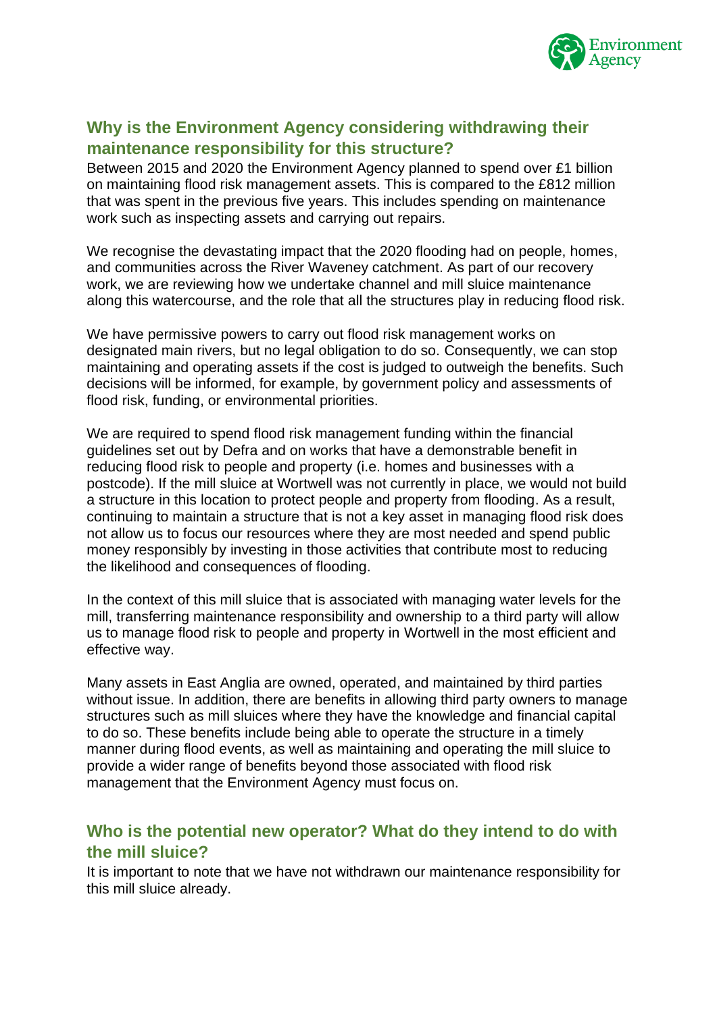

### <span id="page-4-0"></span>**Why is the Environment Agency considering withdrawing their maintenance responsibility for this structure?**

Between 2015 and 2020 the Environment Agency planned to spend over £1 billion on maintaining flood risk management assets. This is compared to the £812 million that was spent in the previous five years. This includes spending on maintenance work such as inspecting assets and carrying out repairs.

We recognise the devastating impact that the 2020 flooding had on people, homes, and communities across the River Waveney catchment. As part of our recovery work, we are reviewing how we undertake channel and mill sluice maintenance along this watercourse, and the role that all the structures play in reducing flood risk.

We have permissive powers to carry out flood risk management works on designated main rivers, but no legal obligation to do so. Consequently, we can stop maintaining and operating assets if the cost is judged to outweigh the benefits. Such decisions will be informed, for example, by government policy and assessments of flood risk, funding, or environmental priorities.

We are required to spend flood risk management funding within the financial guidelines set out by Defra and on works that have a demonstrable benefit in reducing flood risk to people and property (i.e. homes and businesses with a postcode). If the mill sluice at Wortwell was not currently in place, we would not build a structure in this location to protect people and property from flooding. As a result, continuing to maintain a structure that is not a key asset in managing flood risk does not allow us to focus our resources where they are most needed and spend public money responsibly by investing in those activities that contribute most to reducing the likelihood and consequences of flooding.

In the context of this mill sluice that is associated with managing water levels for the mill, transferring maintenance responsibility and ownership to a third party will allow us to manage flood risk to people and property in Wortwell in the most efficient and effective way.

Many assets in East Anglia are owned, operated, and maintained by third parties without issue. In addition, there are benefits in allowing third party owners to manage structures such as mill sluices where they have the knowledge and financial capital to do so. These benefits include being able to operate the structure in a timely manner during flood events, as well as maintaining and operating the mill sluice to provide a wider range of benefits beyond those associated with flood risk management that the Environment Agency must focus on.

#### <span id="page-4-1"></span>**Who is the potential new operator? What do they intend to do with the mill sluice?**

It is important to note that we have not withdrawn our maintenance responsibility for this mill sluice already.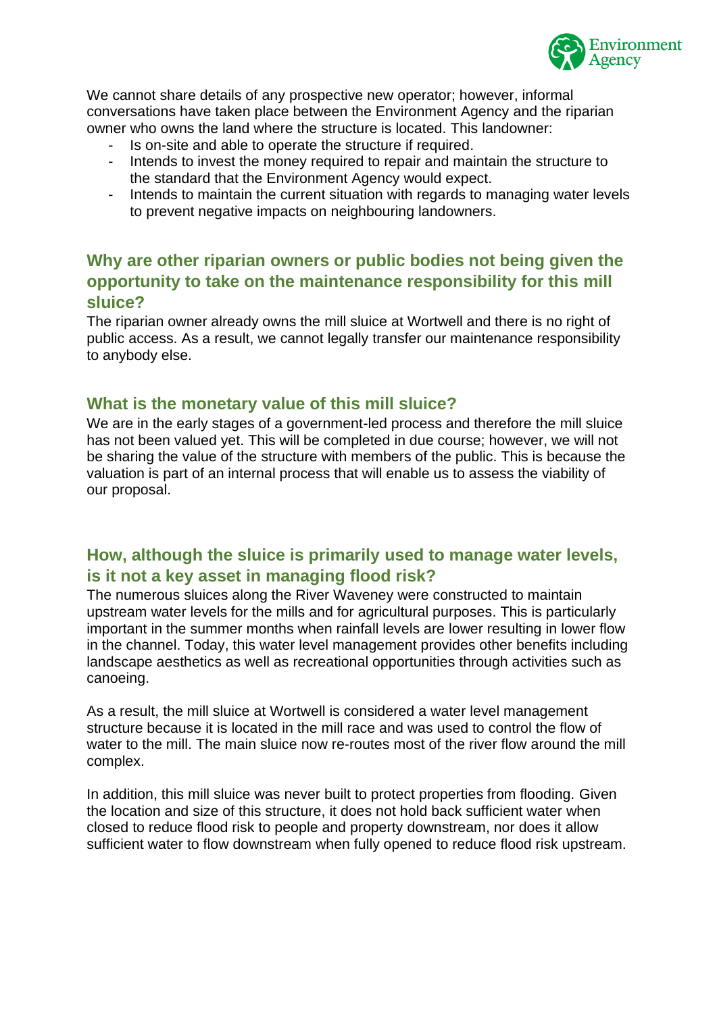

We cannot share details of any prospective new operator; however, informal conversations have taken place between the Environment Agency and the riparian owner who owns the land where the structure is located. This landowner:

- Is on-site and able to operate the structure if required.
- Intends to invest the money required to repair and maintain the structure to the standard that the Environment Agency would expect.
- Intends to maintain the current situation with regards to managing water levels to prevent negative impacts on neighbouring landowners.

### <span id="page-5-0"></span>**Why are other riparian owners or public bodies not being given the opportunity to take on the maintenance responsibility for this mill sluice?**

The riparian owner already owns the mill sluice at Wortwell and there is no right of public access. As a result, we cannot legally transfer our maintenance responsibility to anybody else.

#### <span id="page-5-1"></span>**What is the monetary value of this mill sluice?**

We are in the early stages of a government-led process and therefore the mill sluice has not been valued yet. This will be completed in due course; however, we will not be sharing the value of the structure with members of the public. This is because the valuation is part of an internal process that will enable us to assess the viability of our proposal.

### <span id="page-5-2"></span>**How, although the sluice is primarily used to manage water levels, is it not a key asset in managing flood risk?**

The numerous sluices along the River Waveney were constructed to maintain upstream water levels for the mills and for agricultural purposes. This is particularly important in the summer months when rainfall levels are lower resulting in lower flow in the channel. Today, this water level management provides other benefits including landscape aesthetics as well as recreational opportunities through activities such as canoeing.

As a result, the mill sluice at Wortwell is considered a water level management structure because it is located in the mill race and was used to control the flow of water to the mill. The main sluice now re-routes most of the river flow around the mill complex.

In addition, this mill sluice was never built to protect properties from flooding. Given the location and size of this structure, it does not hold back sufficient water when closed to reduce flood risk to people and property downstream, nor does it allow sufficient water to flow downstream when fully opened to reduce flood risk upstream.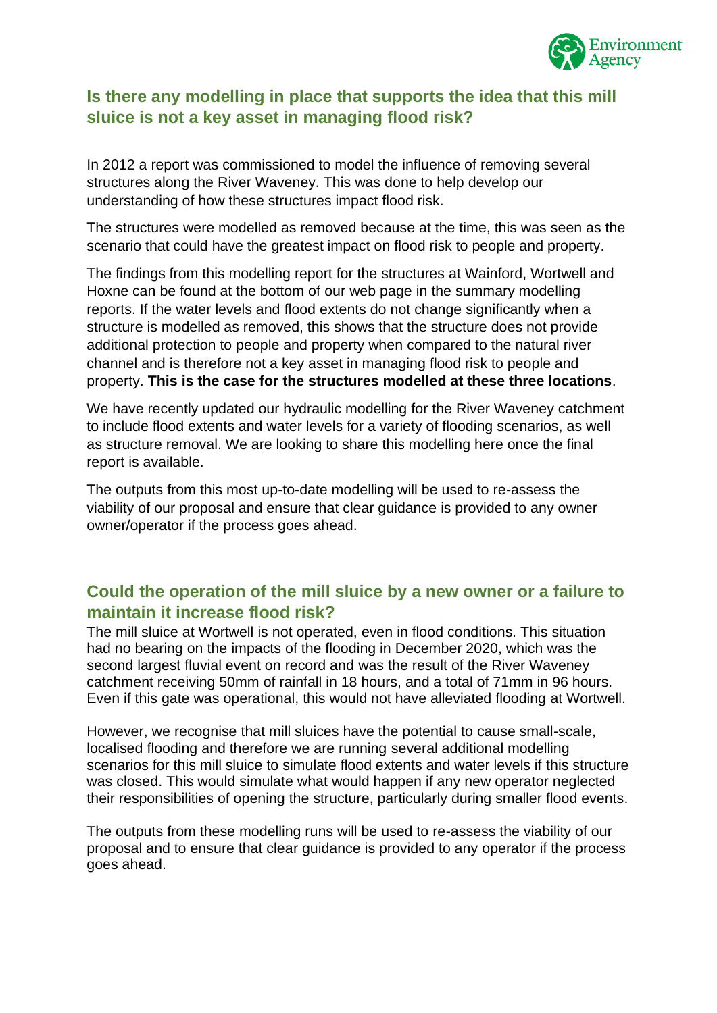

## <span id="page-6-0"></span>**Is there any modelling in place that supports the idea that this mill sluice is not a key asset in managing flood risk?**

In 2012 a report was commissioned to model the influence of removing several structures along the River Waveney. This was done to help develop our understanding of how these structures impact flood risk.

The structures were modelled as removed because at the time, this was seen as the scenario that could have the greatest impact on flood risk to people and property.

The findings from this modelling report for the structures at Wainford, Wortwell and Hoxne can be found at the bottom of our web page in the summary modelling reports. If the water levels and flood extents do not change significantly when a structure is modelled as removed, this shows that the structure does not provide additional protection to people and property when compared to the natural river channel and is therefore not a key asset in managing flood risk to people and property. **This is the case for the structures modelled at these three locations**.

We have recently updated our hydraulic modelling for the River Waveney catchment to include flood extents and water levels for a variety of flooding scenarios, as well as structure removal. We are looking to share this modelling here once the final report is available.

The outputs from this most up-to-date modelling will be used to re-assess the viability of our proposal and ensure that clear guidance is provided to any owner owner/operator if the process goes ahead.

## <span id="page-6-1"></span>**Could the operation of the mill sluice by a new owner or a failure to maintain it increase flood risk?**

The mill sluice at Wortwell is not operated, even in flood conditions. This situation had no bearing on the impacts of the flooding in December 2020, which was the second largest fluvial event on record and was the result of the River Waveney catchment receiving 50mm of rainfall in 18 hours, and a total of 71mm in 96 hours. Even if this gate was operational, this would not have alleviated flooding at Wortwell.

However, we recognise that mill sluices have the potential to cause small-scale, localised flooding and therefore we are running several additional modelling scenarios for this mill sluice to simulate flood extents and water levels if this structure was closed. This would simulate what would happen if any new operator neglected their responsibilities of opening the structure, particularly during smaller flood events.

The outputs from these modelling runs will be used to re-assess the viability of our proposal and to ensure that clear guidance is provided to any operator if the process goes ahead.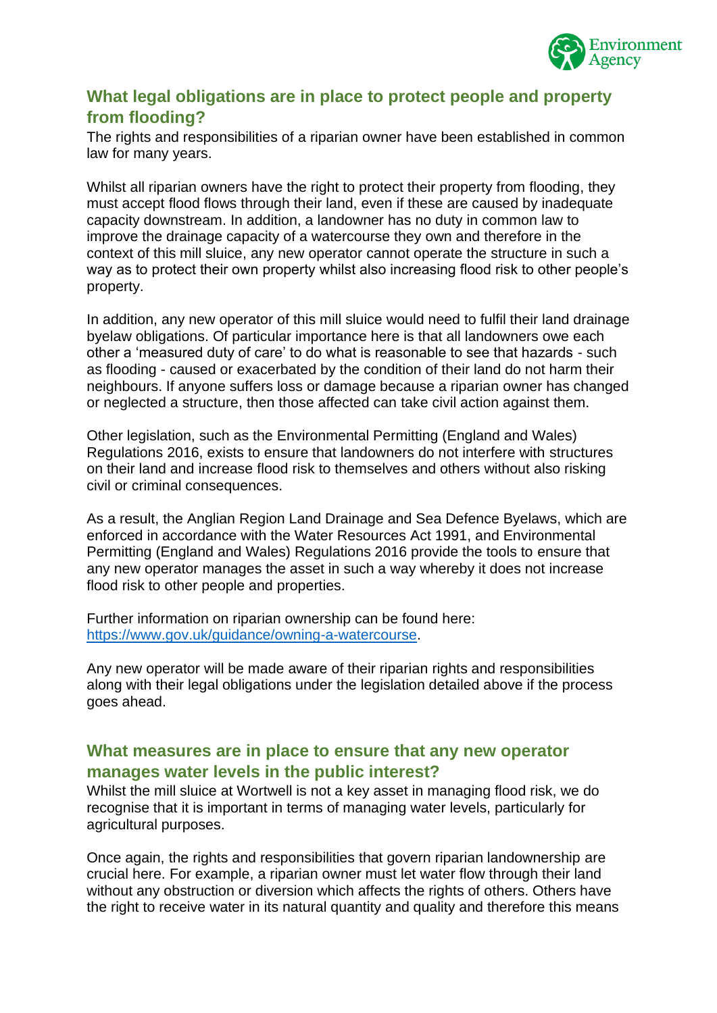

### <span id="page-7-0"></span>**What legal obligations are in place to protect people and property from flooding?**

The rights and responsibilities of a riparian owner have been established in common law for many years.

Whilst all riparian owners have the right to protect their property from flooding, they must accept flood flows through their land, even if these are caused by inadequate capacity downstream. In addition, a landowner has no duty in common law to improve the drainage capacity of a watercourse they own and therefore in the context of this mill sluice, any new operator cannot operate the structure in such a way as to protect their own property whilst also increasing flood risk to other people's property.

In addition, any new operator of this mill sluice would need to fulfil their land drainage byelaw obligations. Of particular importance here is that all landowners owe each other a 'measured duty of care' to do what is reasonable to see that hazards - such as flooding - caused or exacerbated by the condition of their land do not harm their neighbours. If anyone suffers loss or damage because a riparian owner has changed or neglected a structure, then those affected can take civil action against them.

Other legislation, such as the Environmental Permitting (England and Wales) Regulations 2016, exists to ensure that landowners do not interfere with structures on their land and increase flood risk to themselves and others without also risking civil or criminal consequences.

As a result, the Anglian Region Land Drainage and Sea Defence Byelaws, which are enforced in accordance with the Water Resources Act 1991, and Environmental Permitting (England and Wales) Regulations 2016 provide the tools to ensure that any new operator manages the asset in such a way whereby it does not increase flood risk to other people and properties.

Further information on riparian ownership can be found here: [https://www.gov.uk/guidance/owning-a-watercourse.](https://www.gov.uk/guidance/owning-a-watercourse)

Any new operator will be made aware of their riparian rights and responsibilities along with their legal obligations under the legislation detailed above if the process goes ahead.

#### <span id="page-7-1"></span>**What measures are in place to ensure that any new operator manages water levels in the public interest?**

Whilst the mill sluice at Wortwell is not a key asset in managing flood risk, we do recognise that it is important in terms of managing water levels, particularly for agricultural purposes.

Once again, the rights and responsibilities that govern riparian landownership are crucial here. For example, a riparian owner must let water flow through their land without any obstruction or diversion which affects the rights of others. Others have the right to receive water in its natural quantity and quality and therefore this means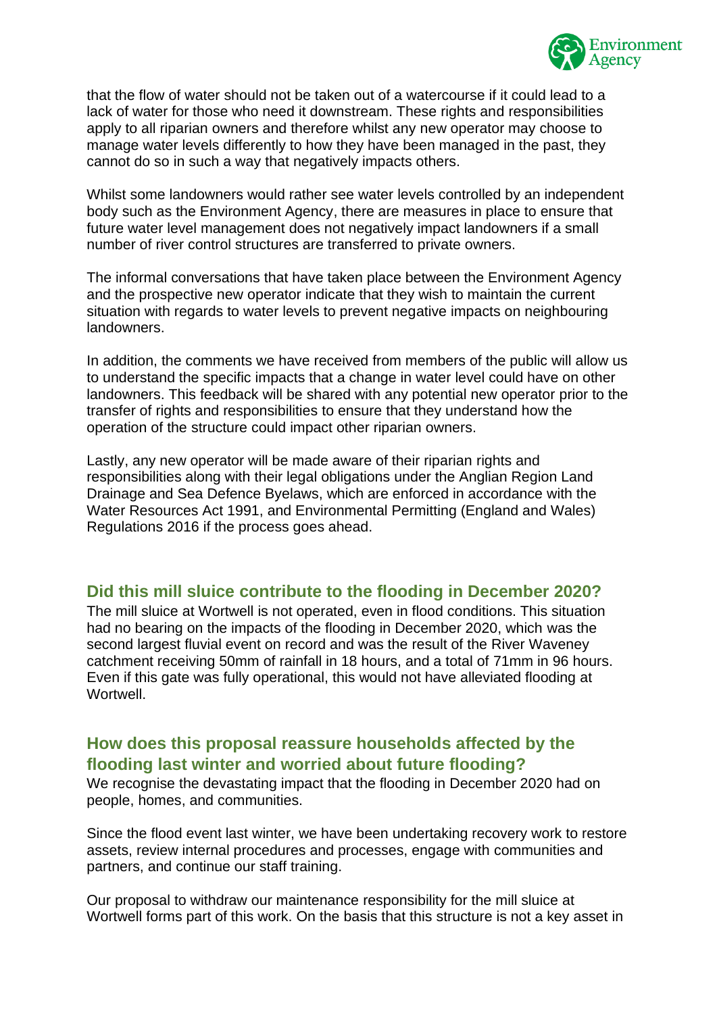

that the flow of water should not be taken out of a watercourse if it could lead to a lack of water for those who need it downstream. These rights and responsibilities apply to all riparian owners and therefore whilst any new operator may choose to manage water levels differently to how they have been managed in the past, they cannot do so in such a way that negatively impacts others.

Whilst some landowners would rather see water levels controlled by an independent body such as the Environment Agency, there are measures in place to ensure that future water level management does not negatively impact landowners if a small number of river control structures are transferred to private owners.

The informal conversations that have taken place between the Environment Agency and the prospective new operator indicate that they wish to maintain the current situation with regards to water levels to prevent negative impacts on neighbouring landowners.

In addition, the comments we have received from members of the public will allow us to understand the specific impacts that a change in water level could have on other landowners. This feedback will be shared with any potential new operator prior to the transfer of rights and responsibilities to ensure that they understand how the operation of the structure could impact other riparian owners.

Lastly, any new operator will be made aware of their riparian rights and responsibilities along with their legal obligations under the Anglian Region Land Drainage and Sea Defence Byelaws, which are enforced in accordance with the Water Resources Act 1991, and Environmental Permitting (England and Wales) Regulations 2016 if the process goes ahead.

#### <span id="page-8-0"></span>**Did this mill sluice contribute to the flooding in December 2020?**

The mill sluice at Wortwell is not operated, even in flood conditions. This situation had no bearing on the impacts of the flooding in December 2020, which was the second largest fluvial event on record and was the result of the River Waveney catchment receiving 50mm of rainfall in 18 hours, and a total of 71mm in 96 hours. Even if this gate was fully operational, this would not have alleviated flooding at **Wortwell** 

#### <span id="page-8-1"></span>**How does this proposal reassure households affected by the flooding last winter and worried about future flooding?**

We recognise the devastating impact that the flooding in December 2020 had on people, homes, and communities.

Since the flood event last winter, we have been undertaking recovery work to restore assets, review internal procedures and processes, engage with communities and partners, and continue our staff training.

Our proposal to withdraw our maintenance responsibility for the mill sluice at Wortwell forms part of this work. On the basis that this structure is not a key asset in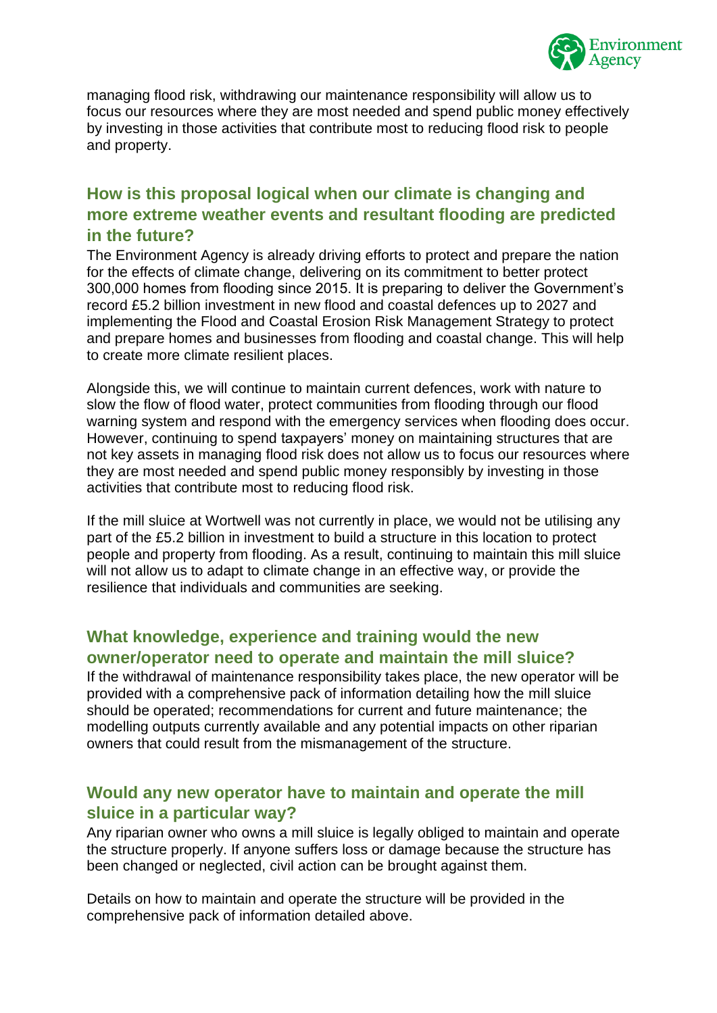

managing flood risk, withdrawing our maintenance responsibility will allow us to focus our resources where they are most needed and spend public money effectively by investing in those activities that contribute most to reducing flood risk to people and property.

## <span id="page-9-0"></span>**How is this proposal logical when our climate is changing and more extreme weather events and resultant flooding are predicted in the future?**

The Environment Agency is already driving efforts to protect and prepare the nation for the effects of climate change, delivering on its commitment to better protect 300,000 homes from flooding since 2015. It is preparing to deliver the Government's record £5.2 billion investment in new flood and coastal defences up to 2027 and implementing the Flood and Coastal Erosion Risk Management Strategy to protect and prepare homes and businesses from flooding and coastal change. This will help to create more climate resilient places.

Alongside this, we will continue to maintain current defences, work with nature to slow the flow of flood water, protect communities from flooding through our flood warning system and respond with the emergency services when flooding does occur. However, continuing to spend taxpayers' money on maintaining structures that are not key assets in managing flood risk does not allow us to focus our resources where they are most needed and spend public money responsibly by investing in those activities that contribute most to reducing flood risk.

If the mill sluice at Wortwell was not currently in place, we would not be utilising any part of the £5.2 billion in investment to build a structure in this location to protect people and property from flooding. As a result, continuing to maintain this mill sluice will not allow us to adapt to climate change in an effective way, or provide the resilience that individuals and communities are seeking.

### <span id="page-9-1"></span>**What knowledge, experience and training would the new owner/operator need to operate and maintain the mill sluice?**

If the withdrawal of maintenance responsibility takes place, the new operator will be provided with a comprehensive pack of information detailing how the mill sluice should be operated; recommendations for current and future maintenance; the modelling outputs currently available and any potential impacts on other riparian owners that could result from the mismanagement of the structure.

### <span id="page-9-2"></span>**Would any new operator have to maintain and operate the mill sluice in a particular way?**

Any riparian owner who owns a mill sluice is legally obliged to maintain and operate the structure properly. If anyone suffers loss or damage because the structure has been changed or neglected, civil action can be brought against them.

Details on how to maintain and operate the structure will be provided in the comprehensive pack of information detailed above.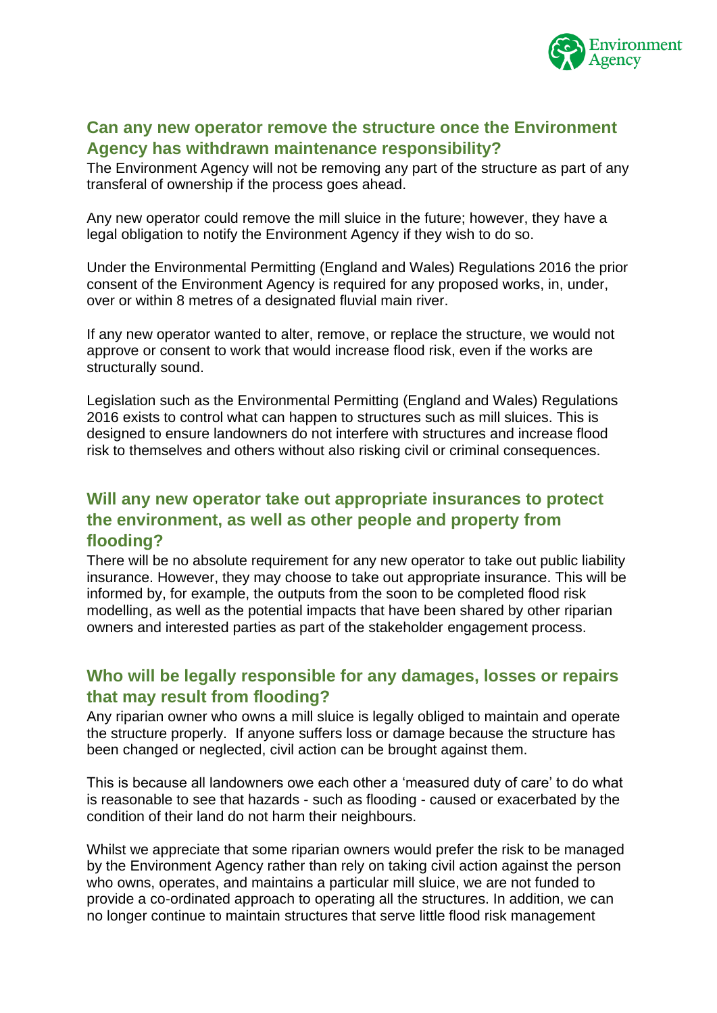

#### <span id="page-10-0"></span>**Can any new operator remove the structure once the Environment Agency has withdrawn maintenance responsibility?**

The Environment Agency will not be removing any part of the structure as part of any transferal of ownership if the process goes ahead.

Any new operator could remove the mill sluice in the future; however, they have a legal obligation to notify the Environment Agency if they wish to do so.

Under the Environmental Permitting (England and Wales) Regulations 2016 the prior consent of the Environment Agency is required for any proposed works, in, under, over or within 8 metres of a designated fluvial main river.

If any new operator wanted to alter, remove, or replace the structure, we would not approve or consent to work that would increase flood risk, even if the works are structurally sound.

Legislation such as the Environmental Permitting (England and Wales) Regulations 2016 exists to control what can happen to structures such as mill sluices. This is designed to ensure landowners do not interfere with structures and increase flood risk to themselves and others without also risking civil or criminal consequences.

## <span id="page-10-1"></span>**Will any new operator take out appropriate insurances to protect the environment, as well as other people and property from flooding?**

There will be no absolute requirement for any new operator to take out public liability insurance. However, they may choose to take out appropriate insurance. This will be informed by, for example, the outputs from the soon to be completed flood risk modelling, as well as the potential impacts that have been shared by other riparian owners and interested parties as part of the stakeholder engagement process.

### <span id="page-10-2"></span>**Who will be legally responsible for any damages, losses or repairs that may result from flooding?**

Any riparian owner who owns a mill sluice is legally obliged to maintain and operate the structure properly. If anyone suffers loss or damage because the structure has been changed or neglected, civil action can be brought against them.

This is because all landowners owe each other a 'measured duty of care' to do what is reasonable to see that hazards - such as flooding - caused or exacerbated by the condition of their land do not harm their neighbours.

Whilst we appreciate that some riparian owners would prefer the risk to be managed by the Environment Agency rather than rely on taking civil action against the person who owns, operates, and maintains a particular mill sluice, we are not funded to provide a co-ordinated approach to operating all the structures. In addition, we can no longer continue to maintain structures that serve little flood risk management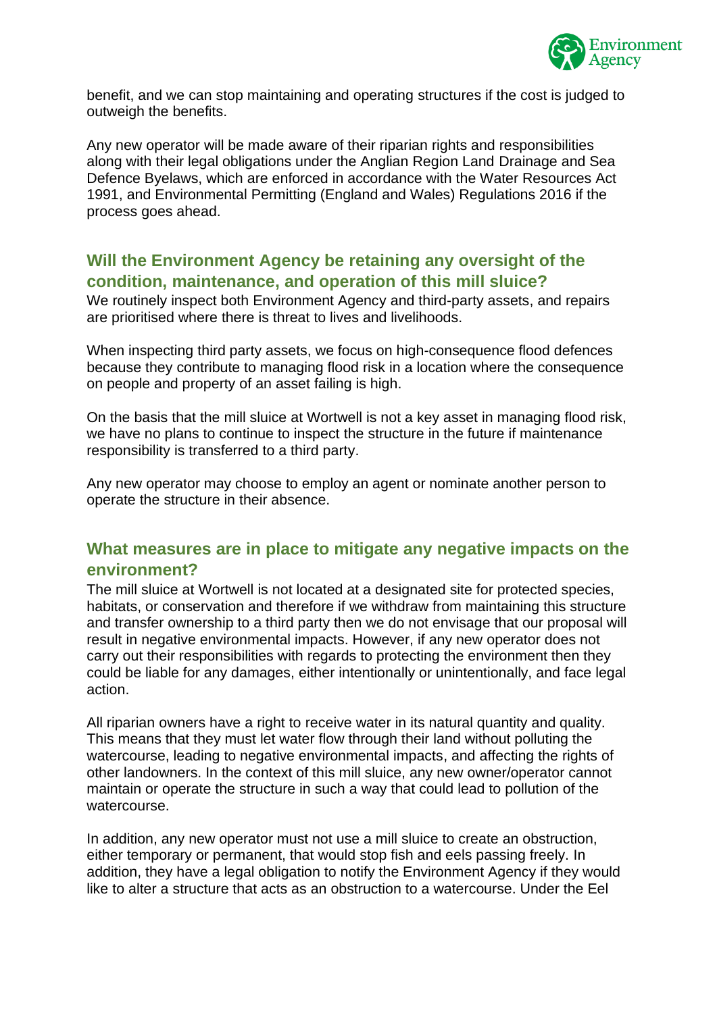

benefit, and we can stop maintaining and operating structures if the cost is judged to outweigh the benefits.

Any new operator will be made aware of their riparian rights and responsibilities along with their legal obligations under the Anglian Region Land Drainage and Sea Defence Byelaws, which are enforced in accordance with the Water Resources Act 1991, and Environmental Permitting (England and Wales) Regulations 2016 if the process goes ahead.

## <span id="page-11-0"></span>**Will the Environment Agency be retaining any oversight of the condition, maintenance, and operation of this mill sluice?**

We routinely inspect both Environment Agency and third-party assets, and repairs are prioritised where there is threat to lives and livelihoods.

When inspecting third party assets, we focus on high-consequence flood defences because they contribute to managing flood risk in a location where the consequence on people and property of an asset failing is high.

On the basis that the mill sluice at Wortwell is not a key asset in managing flood risk, we have no plans to continue to inspect the structure in the future if maintenance responsibility is transferred to a third party.

Any new operator may choose to employ an agent or nominate another person to operate the structure in their absence.

### <span id="page-11-1"></span>**What measures are in place to mitigate any negative impacts on the environment?**

The mill sluice at Wortwell is not located at a designated site for protected species, habitats, or conservation and therefore if we withdraw from maintaining this structure and transfer ownership to a third party then we do not envisage that our proposal will result in negative environmental impacts. However, if any new operator does not carry out their responsibilities with regards to protecting the environment then they could be liable for any damages, either intentionally or unintentionally, and face legal action.

All riparian owners have a right to receive water in its natural quantity and quality. This means that they must let water flow through their land without polluting the watercourse, leading to negative environmental impacts, and affecting the rights of other landowners. In the context of this mill sluice, any new owner/operator cannot maintain or operate the structure in such a way that could lead to pollution of the watercourse.

In addition, any new operator must not use a mill sluice to create an obstruction, either temporary or permanent, that would stop fish and eels passing freely. In addition, they have a legal obligation to notify the Environment Agency if they would like to alter a structure that acts as an obstruction to a watercourse. Under the Eel